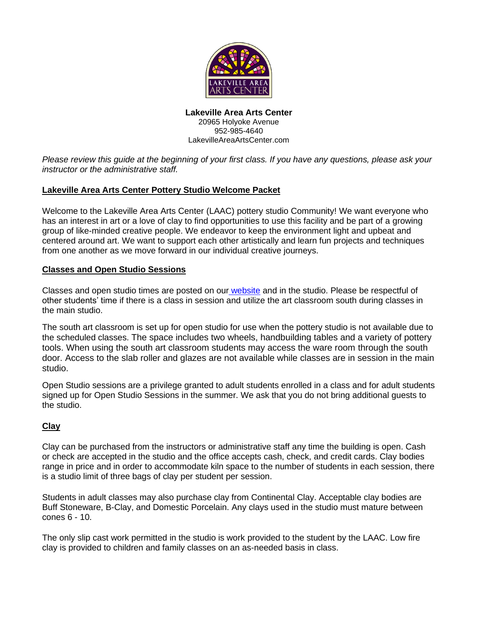

**Lakeville Area Arts Center** 20965 Holyoke Avenue 952-985-4640 LakevilleAreaArtsCenter.com

*Please review this guide at the beginning of your first class. If you have any questions, please ask your instructor or the administrative staff.*

# **Lakeville Area Arts Center Pottery Studio Welcome Packet**

Welcome to the Lakeville Area Arts Center (LAAC) pottery studio Community! We want everyone who has an interest in art or a love of clay to find opportunities to use this facility and be part of a growing group of like-minded creative people. We endeavor to keep the environment light and upbeat and centered around art. We want to support each other artistically and learn fun projects and techniques from one another as we move forward in our individual creative journeys.

### **Classes and Open Studio Sessions**

Classes and open studio times are posted on our *[website](https://www.lakevilleareaartscenter.com/DocumentCenter/View/6581/Open-Pottery-Studio-Schedule)* and in the studio. Please be respectful of other students' time if there is a class in session and utilize the art classroom south during classes in the main studio.

The south art classroom is set up for open studio for use when the pottery studio is not available due to the scheduled classes. The space includes two wheels, handbuilding tables and a variety of pottery tools. When using the south art classroom students may access the ware room through the south door. Access to the slab roller and glazes are not available while classes are in session in the main studio.

Open Studio sessions are a privilege granted to adult students enrolled in a class and for adult students signed up for Open Studio Sessions in the summer. We ask that you do not bring additional guests to the studio.

### **Clay**

Clay can be purchased from the instructors or administrative staff any time the building is open. Cash or check are accepted in the studio and the office accepts cash, check, and credit cards. Clay bodies range in price and in order to accommodate kiln space to the number of students in each session, there is a studio limit of three bags of clay per student per session.

Students in adult classes may also purchase clay from Continental Clay. Acceptable clay bodies are Buff Stoneware, B-Clay, and Domestic Porcelain. Any clays used in the studio must mature between cones 6 - 10.

The only slip cast work permitted in the studio is work provided to the student by the LAAC. Low fire clay is provided to children and family classes on an as-needed basis in class.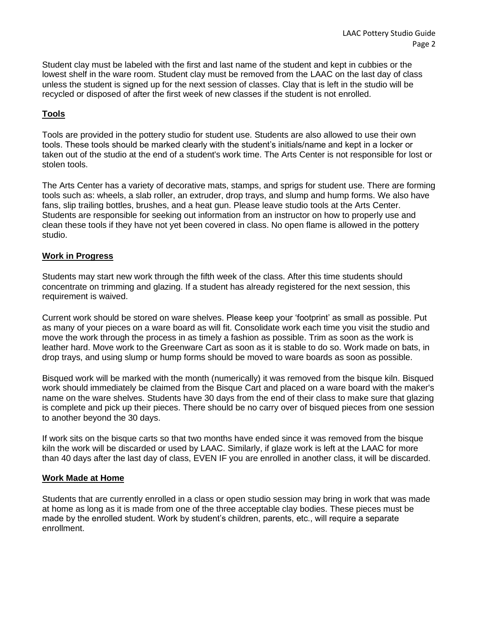Student clay must be labeled with the first and last name of the student and kept in cubbies or the lowest shelf in the ware room. Student clay must be removed from the LAAC on the last day of class unless the student is signed up for the next session of classes. Clay that is left in the studio will be recycled or disposed of after the first week of new classes if the student is not enrolled.

# **Tools**

Tools are provided in the pottery studio for student use. Students are also allowed to use their own tools. These tools should be marked clearly with the student's initials/name and kept in a locker or taken out of the studio at the end of a student's work time. The Arts Center is not responsible for lost or stolen tools.

The Arts Center has a variety of decorative mats, stamps, and sprigs for student use. There are forming tools such as: wheels, a slab roller, an extruder, drop trays, and slump and hump forms. We also have fans, slip trailing bottles, brushes, and a heat gun. Please leave studio tools at the Arts Center. Students are responsible for seeking out information from an instructor on how to properly use and clean these tools if they have not yet been covered in class. No open flame is allowed in the pottery studio.

## **Work in Progress**

Students may start new work through the fifth week of the class. After this time students should concentrate on trimming and glazing. If a student has already registered for the next session, this requirement is waived.

Current work should be stored on ware shelves. Please keep your 'footprint' as small as possible. Put as many of your pieces on a ware board as will fit. Consolidate work each time you visit the studio and move the work through the process in as timely a fashion as possible. Trim as soon as the work is leather hard. Move work to the Greenware Cart as soon as it is stable to do so. Work made on bats, in drop trays, and using slump or hump forms should be moved to ware boards as soon as possible.

Bisqued work will be marked with the month (numerically) it was removed from the bisque kiln. Bisqued work should immediately be claimed from the Bisque Cart and placed on a ware board with the maker's name on the ware shelves. Students have 30 days from the end of their class to make sure that glazing is complete and pick up their pieces. There should be no carry over of bisqued pieces from one session to another beyond the 30 days.

If work sits on the bisque carts so that two months have ended since it was removed from the bisque kiln the work will be discarded or used by LAAC. Similarly, if glaze work is left at the LAAC for more than 40 days after the last day of class, EVEN IF you are enrolled in another class, it will be discarded.

### **Work Made at Home**

Students that are currently enrolled in a class or open studio session may bring in work that was made at home as long as it is made from one of the three acceptable clay bodies. These pieces must be made by the enrolled student. Work by student's children, parents, etc., will require a separate enrollment.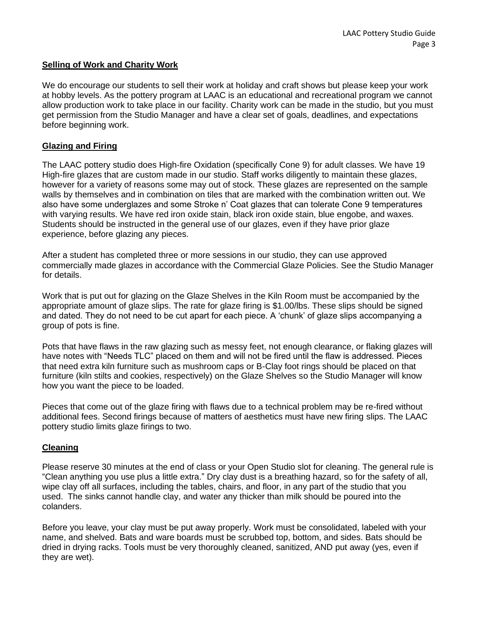#### **Selling of Work and Charity Work**

We do encourage our students to sell their work at holiday and craft shows but please keep your work at hobby levels. As the pottery program at LAAC is an educational and recreational program we cannot allow production work to take place in our facility. Charity work can be made in the studio, but you must get permission from the Studio Manager and have a clear set of goals, deadlines, and expectations before beginning work.

### **Glazing and Firing**

The LAAC pottery studio does High-fire Oxidation (specifically Cone 9) for adult classes. We have 19 High-fire glazes that are custom made in our studio. Staff works diligently to maintain these glazes, however for a variety of reasons some may out of stock. These glazes are represented on the sample walls by themselves and in combination on tiles that are marked with the combination written out. We also have some underglazes and some Stroke n' Coat glazes that can tolerate Cone 9 temperatures with varying results. We have red iron oxide stain, black iron oxide stain, blue engobe, and waxes. Students should be instructed in the general use of our glazes, even if they have prior glaze experience, before glazing any pieces.

After a student has completed three or more sessions in our studio, they can use approved commercially made glazes in accordance with the Commercial Glaze Policies. See the Studio Manager for details.

Work that is put out for glazing on the Glaze Shelves in the Kiln Room must be accompanied by the appropriate amount of glaze slips. The rate for glaze firing is \$1.00/lbs. These slips should be signed and dated. They do not need to be cut apart for each piece. A 'chunk' of glaze slips accompanying a group of pots is fine.

Pots that have flaws in the raw glazing such as messy feet, not enough clearance, or flaking glazes will have notes with "Needs TLC" placed on them and will not be fired until the flaw is addressed. Pieces that need extra kiln furniture such as mushroom caps or B-Clay foot rings should be placed on that furniture (kiln stilts and cookies, respectively) on the Glaze Shelves so the Studio Manager will know how you want the piece to be loaded.

Pieces that come out of the glaze firing with flaws due to a technical problem may be re-fired without additional fees. Second firings because of matters of aesthetics must have new firing slips. The LAAC pottery studio limits glaze firings to two.

### **Cleaning**

Please reserve 30 minutes at the end of class or your Open Studio slot for cleaning. The general rule is "Clean anything you use plus a little extra." Dry clay dust is a breathing hazard, so for the safety of all, wipe clay off all surfaces, including the tables, chairs, and floor, in any part of the studio that you used. The sinks cannot handle clay, and water any thicker than milk should be poured into the colanders.

Before you leave, your clay must be put away properly. Work must be consolidated, labeled with your name, and shelved. Bats and ware boards must be scrubbed top, bottom, and sides. Bats should be dried in drying racks. Tools must be very thoroughly cleaned, sanitized, AND put away (yes, even if they are wet).